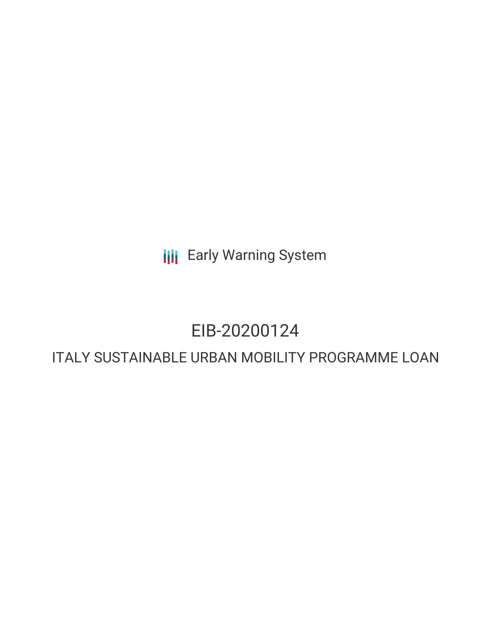**III** Early Warning System

### EIB-20200124

### ITALY SUSTAINABLE URBAN MOBILITY PROGRAMME LOAN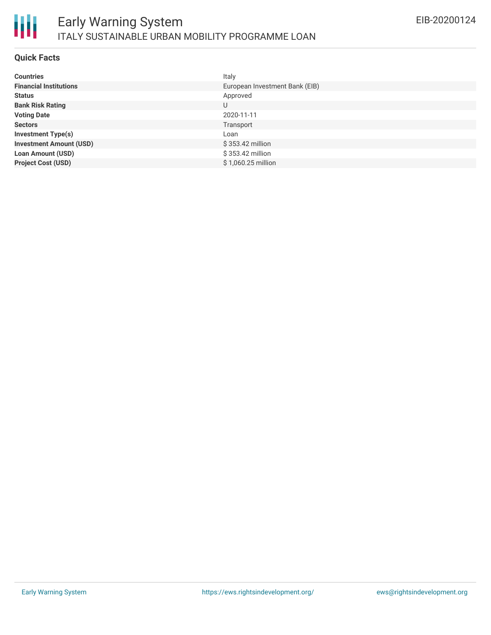

#### **Quick Facts**

| <b>Countries</b>               | Italy                          |
|--------------------------------|--------------------------------|
| <b>Financial Institutions</b>  | European Investment Bank (EIB) |
| <b>Status</b>                  | Approved                       |
| <b>Bank Risk Rating</b>        | U                              |
| <b>Voting Date</b>             | 2020-11-11                     |
| <b>Sectors</b>                 | Transport                      |
| <b>Investment Type(s)</b>      | Loan                           |
| <b>Investment Amount (USD)</b> | \$353.42 million               |
| <b>Loan Amount (USD)</b>       | \$353.42 million               |
| <b>Project Cost (USD)</b>      | $$1,060.25$ million            |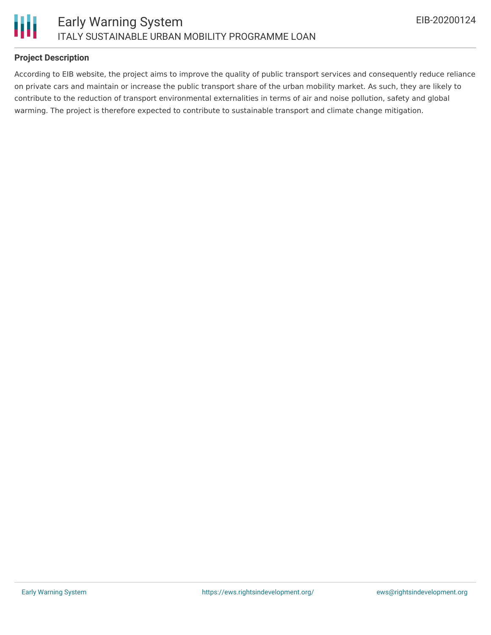

#### **Project Description**

According to EIB website, the project aims to improve the quality of public transport services and consequently reduce reliance on private cars and maintain or increase the public transport share of the urban mobility market. As such, they are likely to contribute to the reduction of transport environmental externalities in terms of air and noise pollution, safety and global warming. The project is therefore expected to contribute to sustainable transport and climate change mitigation.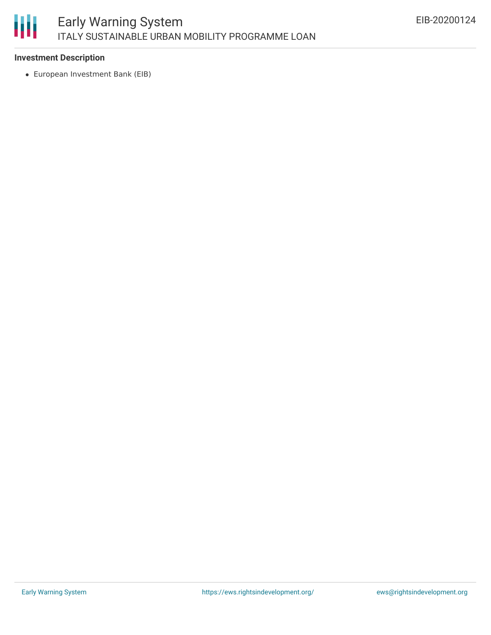# 朋

#### **Investment Description**

European Investment Bank (EIB)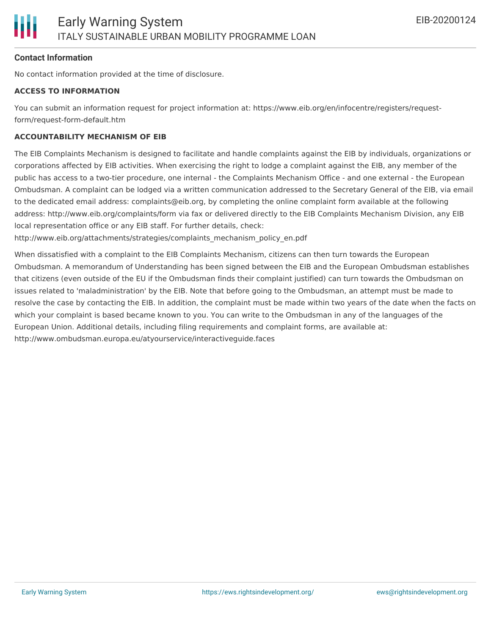#### **Contact Information**

No contact information provided at the time of disclosure.

#### **ACCESS TO INFORMATION**

You can submit an information request for project information at: https://www.eib.org/en/infocentre/registers/requestform/request-form-default.htm

#### **ACCOUNTABILITY MECHANISM OF EIB**

The EIB Complaints Mechanism is designed to facilitate and handle complaints against the EIB by individuals, organizations or corporations affected by EIB activities. When exercising the right to lodge a complaint against the EIB, any member of the public has access to a two-tier procedure, one internal - the Complaints Mechanism Office - and one external - the European Ombudsman. A complaint can be lodged via a written communication addressed to the Secretary General of the EIB, via email to the dedicated email address: complaints@eib.org, by completing the online complaint form available at the following address: http://www.eib.org/complaints/form via fax or delivered directly to the EIB Complaints Mechanism Division, any EIB local representation office or any EIB staff. For further details, check:

http://www.eib.org/attachments/strategies/complaints\_mechanism\_policy\_en.pdf

When dissatisfied with a complaint to the EIB Complaints Mechanism, citizens can then turn towards the European Ombudsman. A memorandum of Understanding has been signed between the EIB and the European Ombudsman establishes that citizens (even outside of the EU if the Ombudsman finds their complaint justified) can turn towards the Ombudsman on issues related to 'maladministration' by the EIB. Note that before going to the Ombudsman, an attempt must be made to resolve the case by contacting the EIB. In addition, the complaint must be made within two years of the date when the facts on which your complaint is based became known to you. You can write to the Ombudsman in any of the languages of the European Union. Additional details, including filing requirements and complaint forms, are available at: http://www.ombudsman.europa.eu/atyourservice/interactiveguide.faces